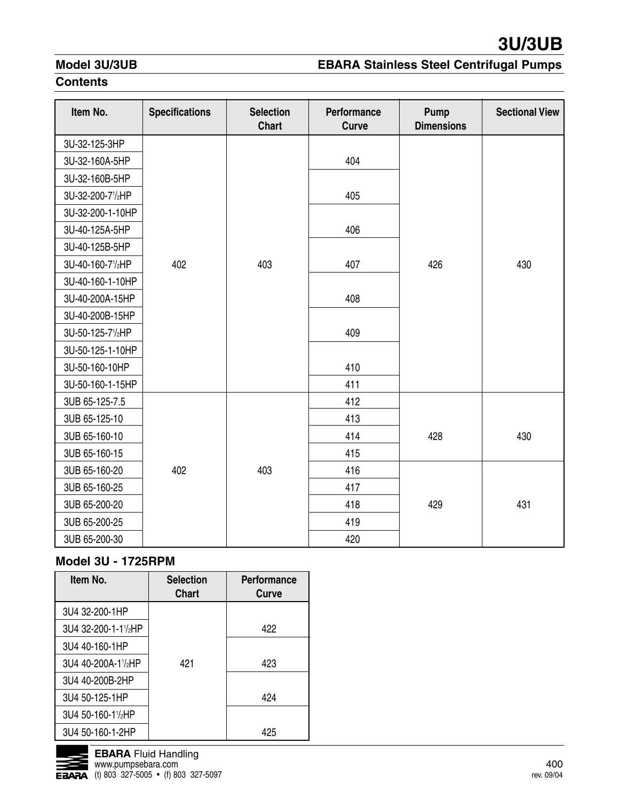## **Model 3U/3UB**

# **EBARA Stainless Steel Centrifugal Pumps**

## **Contents**

| Item No.         | <b>Specifications</b> | <b>Selection</b><br><b>Chart</b> | Performance<br><b>Curve</b> | Pump<br><b>Dimensions</b> | <b>Sectional View</b> |
|------------------|-----------------------|----------------------------------|-----------------------------|---------------------------|-----------------------|
| 3U-32-125-3HP    |                       |                                  |                             |                           |                       |
| 3U-32-160A-5HP   |                       |                                  | 404                         |                           |                       |
| 3U-32-160B-5HP   |                       |                                  |                             |                           |                       |
| 3U-32-200-71/2HP |                       |                                  | 405                         |                           |                       |
| 3U-32-200-1-10HP |                       |                                  |                             |                           |                       |
| 3U-40-125A-5HP   |                       |                                  | 406                         |                           |                       |
| 3U-40-125B-5HP   |                       |                                  |                             |                           |                       |
| 3U-40-160-71/2HP | 402                   | 403                              | 407                         | 426                       | 430                   |
| 3U-40-160-1-10HP |                       |                                  |                             |                           |                       |
| 3U-40-200A-15HP  |                       |                                  | 408                         |                           |                       |
| 3U-40-200B-15HP  |                       |                                  |                             |                           |                       |
| 3U-50-125-71/2HP |                       |                                  | 409                         |                           |                       |
| 3U-50-125-1-10HP |                       |                                  |                             |                           |                       |
| 3U-50-160-10HP   |                       |                                  | 410                         |                           |                       |
| 3U-50-160-1-15HP |                       |                                  | 411                         |                           |                       |
| 3UB 65-125-7.5   |                       |                                  | 412                         |                           |                       |
| 3UB 65-125-10    |                       |                                  | 413                         |                           |                       |
| 3UB 65-160-10    |                       |                                  | 414                         | 428                       | 430                   |
| 3UB 65-160-15    |                       |                                  | 415                         |                           |                       |
| 3UB 65-160-20    | 402                   | 403                              | 416                         |                           |                       |
| 3UB 65-160-25    |                       |                                  | 417                         |                           |                       |
| 3UB 65-200-20    |                       |                                  | 418                         | 429                       | 431                   |
| 3UB 65-200-25    |                       |                                  | 419                         |                           |                       |
| 3UB 65-200-30    |                       |                                  | 420                         |                           |                       |

# **Model 3U - 1725RPM**

| Item No.                         | <b>Selection</b><br><b>Chart</b> | <b>Performance</b><br>Curve |
|----------------------------------|----------------------------------|-----------------------------|
| 3U4 32-200-1HP                   |                                  |                             |
| 3U4 32-200-1-11/ <sub>2</sub> HP |                                  | 422                         |
| 3U4 40-160-1HP                   |                                  |                             |
| 3U4 40-200A-11/2HP               | 421                              | 423                         |
| 3U4 40-200B-2HP                  |                                  |                             |
| 3U4 50-125-1HP                   |                                  | 424                         |
| 3U4 50-160-11/ <sub>2</sub> HP   |                                  |                             |
| 3U4 50-160-1-2HP                 |                                  | 425                         |

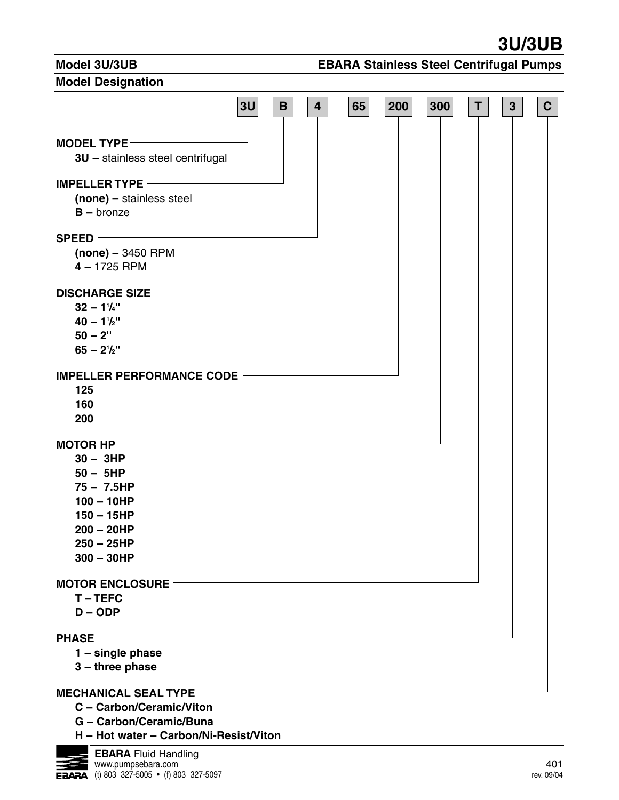**3U/3UB**

## **Model 3U/3UB**

# **EBARA Stainless Steel Centrifugal Pumps**

| <b>Model Designation</b>                          |    |             |                         |    |     |     |             |              |              |
|---------------------------------------------------|----|-------------|-------------------------|----|-----|-----|-------------|--------------|--------------|
|                                                   | 3U | $\mathbf B$ | $\overline{\mathbf{4}}$ | 65 | 200 | 300 | $\mathsf T$ | $\mathbf{3}$ | $\mathbf{C}$ |
| <b>MODEL TYPE --</b>                              |    |             |                         |    |     |     |             |              |              |
| 3U - stainless steel centrifugal                  |    |             |                         |    |     |     |             |              |              |
| <b>IMPELLER TYPE ----------</b>                   |    |             |                         |    |     |     |             |              |              |
| (none) - stainless steel                          |    |             |                         |    |     |     |             |              |              |
| $B -$ bronze                                      |    |             |                         |    |     |     |             |              |              |
|                                                   |    |             |                         |    |     |     |             |              |              |
| $SPEED -$                                         |    |             |                         |    |     |     |             |              |              |
| $(none) - 3450$ RPM                               |    |             |                         |    |     |     |             |              |              |
| $4 - 1725$ RPM                                    |    |             |                         |    |     |     |             |              |              |
|                                                   |    |             |                         |    |     |     |             |              |              |
| <b>DISCHARGE SIZE</b><br>$\overline{\phantom{a}}$ |    |             |                         |    |     |     |             |              |              |
| $32 - 1^{1}/4$                                    |    |             |                         |    |     |     |             |              |              |
| $40 - 1^{1}/2$                                    |    |             |                         |    |     |     |             |              |              |
| $50 - 2"$                                         |    |             |                         |    |     |     |             |              |              |
| $65 - 2^{1}/2$                                    |    |             |                         |    |     |     |             |              |              |
|                                                   |    |             |                         |    |     |     |             |              |              |
| IMPELLER PERFORMANCE CODE                         |    |             |                         |    |     |     |             |              |              |
| 125                                               |    |             |                         |    |     |     |             |              |              |
| 160                                               |    |             |                         |    |     |     |             |              |              |
| 200                                               |    |             |                         |    |     |     |             |              |              |
| MOTOR HP $-$                                      |    |             |                         |    |     |     |             |              |              |
| $30 - 3HP$                                        |    |             |                         |    |     |     |             |              |              |
| $50 - 5HP$                                        |    |             |                         |    |     |     |             |              |              |
| $75 - 7.5HP$                                      |    |             |                         |    |     |     |             |              |              |
| $100 - 10HP$                                      |    |             |                         |    |     |     |             |              |              |
| $150 - 15HP$                                      |    |             |                         |    |     |     |             |              |              |
| $200 - 20HP$                                      |    |             |                         |    |     |     |             |              |              |
| $250 - 25HP$                                      |    |             |                         |    |     |     |             |              |              |
| $300 - 30HP$                                      |    |             |                         |    |     |     |             |              |              |
|                                                   |    |             |                         |    |     |     |             |              |              |
| <b>MOTOR ENCLOSURE</b>                            |    |             |                         |    |     |     |             |              |              |
| T-TEFC                                            |    |             |                         |    |     |     |             |              |              |
| $D - ODP$                                         |    |             |                         |    |     |     |             |              |              |
|                                                   |    |             |                         |    |     |     |             |              |              |
| <b>PHASE</b>                                      |    |             |                         |    |     |     |             |              |              |
| $1 -$ single phase                                |    |             |                         |    |     |     |             |              |              |
| $3$ – three phase                                 |    |             |                         |    |     |     |             |              |              |
| <b>MECHANICAL SEAL TYPE</b>                       |    |             |                         |    |     |     |             |              |              |
| C - Carbon/Ceramic/Viton                          |    |             |                         |    |     |     |             |              |              |
| G - Carbon/Ceramic/Buna                           |    |             |                         |    |     |     |             |              |              |

**H – Hot water – Carbon/Ni-Resist/Viton**

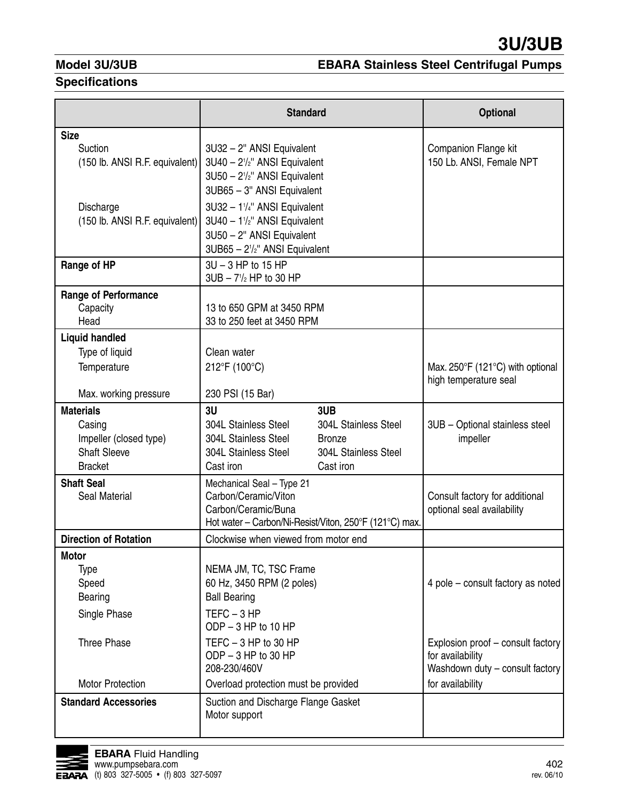# **Model 3U/3UB**

# **EBARA Stainless Steel Centrifugal Pumps**

## **Specifications**

|                                | <b>Standard</b>                                         | <b>Optional</b>                                      |
|--------------------------------|---------------------------------------------------------|------------------------------------------------------|
| <b>Size</b>                    |                                                         |                                                      |
| Suction                        | 3U32 - 2" ANSI Equivalent                               | Companion Flange kit                                 |
| (150 lb. ANSI R.F. equivalent) | 3U40 - 2 <sup>1</sup> / <sub>2</sub> " ANSI Equivalent  | 150 Lb. ANSI, Female NPT                             |
|                                | 3U50 - 2 <sup>1</sup> / <sub>2</sub> " ANSI Equivalent  |                                                      |
|                                | 3UB65 - 3" ANSI Equivalent                              |                                                      |
| Discharge                      | 3U32 - 11/4" ANSI Equivalent                            |                                                      |
| (150 lb. ANSI R.F. equivalent) | 3U40 - 11/2" ANSI Equivalent                            |                                                      |
|                                | 3U50 - 2" ANSI Equivalent                               |                                                      |
|                                | 3UB65 - 2 <sup>1</sup> / <sub>2</sub> " ANSI Equivalent |                                                      |
| Range of HP                    | 3U - 3 HP to 15 HP                                      |                                                      |
|                                | $3UB - 71/2$ HP to 30 HP                                |                                                      |
| <b>Range of Performance</b>    |                                                         |                                                      |
| Capacity                       | 13 to 650 GPM at 3450 RPM                               |                                                      |
| Head                           | 33 to 250 feet at 3450 RPM                              |                                                      |
| <b>Liquid handled</b>          |                                                         |                                                      |
| Type of liquid                 | Clean water                                             |                                                      |
| Temperature                    | 212°F (100°C)                                           | Max. 250 $\degree$ F (121 $\degree$ C) with optional |
|                                |                                                         | high temperature seal                                |
| Max. working pressure          | 230 PSI (15 Bar)                                        |                                                      |
| <b>Materials</b>               | 3U<br>3UB                                               |                                                      |
| Casing                         | <b>304L Stainless Steel</b><br>304L Stainless Steel     | 3UB - Optional stainless steel                       |
| Impeller (closed type)         | 304L Stainless Steel<br><b>Bronze</b>                   | impeller                                             |
| <b>Shaft Sleeve</b>            | 304L Stainless Steel<br>304L Stainless Steel            |                                                      |
| <b>Bracket</b>                 | Cast iron<br>Cast iron                                  |                                                      |
| <b>Shaft Seal</b>              | Mechanical Seal - Type 21                               |                                                      |
| Seal Material                  | Carbon/Ceramic/Viton                                    | Consult factory for additional                       |
|                                | Carbon/Ceramic/Buna                                     | optional seal availability                           |
|                                | Hot water - Carbon/Ni-Resist/Viton, 250°F (121°C) max.  |                                                      |
| <b>Direction of Rotation</b>   | Clockwise when viewed from motor end                    |                                                      |
| <b>Motor</b>                   |                                                         |                                                      |
| Type                           | NEMA JM, TC, TSC Frame                                  |                                                      |
| Speed                          | 60 Hz, 3450 RPM (2 poles)                               | 4 pole – consult factory as noted                    |
| Bearing                        | <b>Ball Bearing</b>                                     |                                                      |
| Single Phase                   | $TEFC - 3 HP$                                           |                                                      |
|                                | ODP - 3 HP to 10 HP                                     |                                                      |
| <b>Three Phase</b>             | TEFC $-3$ HP to 30 HP                                   | Explosion proof - consult factory                    |
|                                | ODP $-3$ HP to 30 HP                                    | for availability                                     |
|                                | 208-230/460V                                            | Washdown duty - consult factory                      |
| <b>Motor Protection</b>        | Overload protection must be provided                    | for availability                                     |
| <b>Standard Accessories</b>    | Suction and Discharge Flange Gasket                     |                                                      |
|                                | Motor support                                           |                                                      |
|                                |                                                         |                                                      |

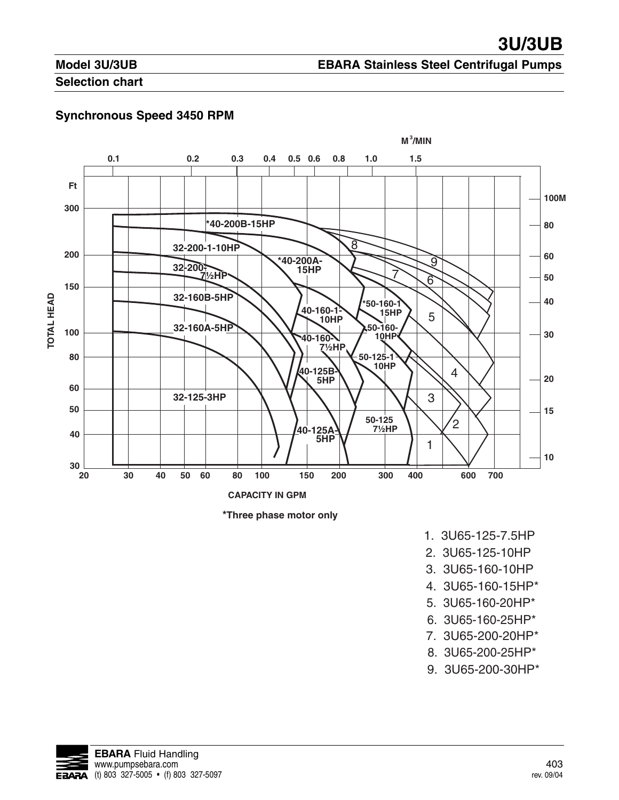# **Model 3U/3UB**

## **EBARA Stainless Steel Centrifugal Pumps**

## **Selection chart**

## **Synchronous Speed 3450 RPM**





- 1. 3U65-125-7.5HP
- 2. 3U65-125-10HP
- 3. 3U65-160-10HP
- 4. 3U65-160-15HP\*
- 5. 3U65-160-20HP\*
- 6. 3U65-160-25HP\*
- 7. 3U65-200-20HP\*
- 8. 3U65-200-25HP\*
- 9. 3U65-200-30HP\*

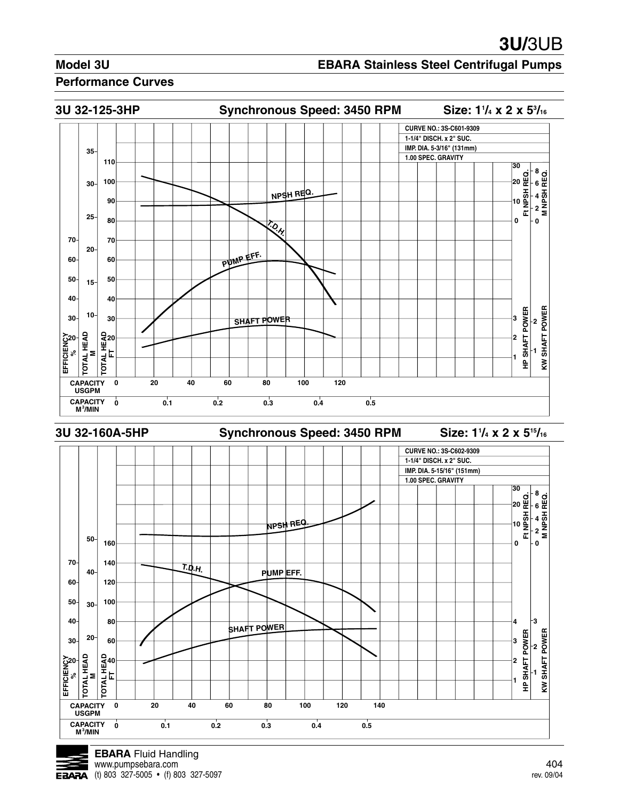#### **EBARA Stainless Steel Centrifugal Pumps**





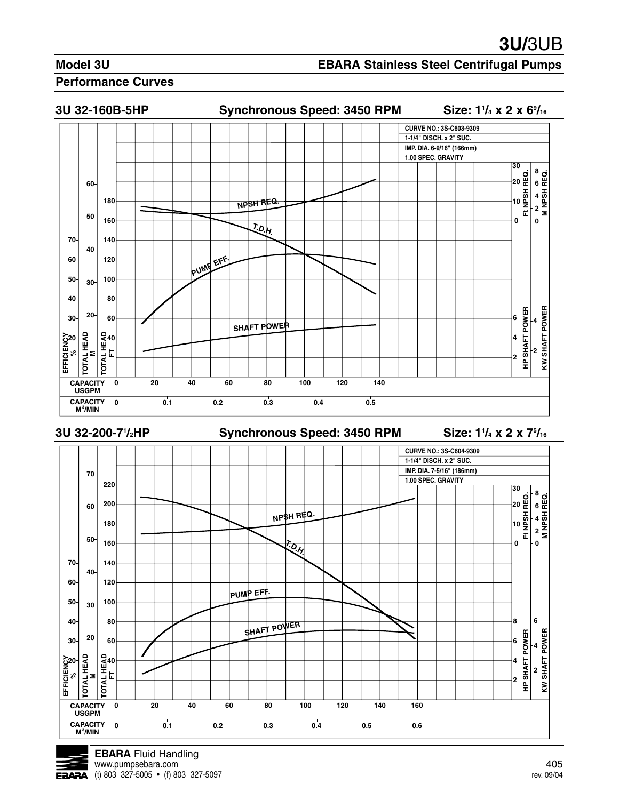### **EBARA Stainless Steel Centrifugal Pumps**





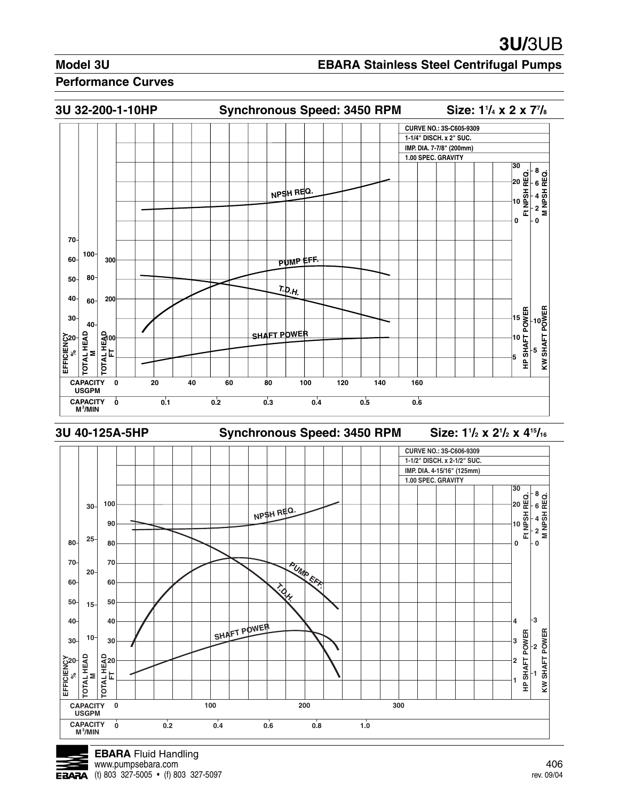#### **EBARA Stainless Steel Centrifugal Pumps**

#### **Performance Curves**



**EBARA** Fluid Handling www.pumpsebara.com 406 = 406 = 406 = 406 = 406 = 406 = 406 = 406 = 406 = 406 = 406 = 406 = 406 = 406 = 406 = 406 = 406 = 406 = 406 = 406 = 406 = 406 = 406 = 406 = 406 = 406 = 406 = 406 = 406 = 406 = 406 = 407 = 407 = 408 =  $\overline{E}$ **EAAA** (t) 803 327-5005 • (f) 803 327-5097 rev. 09/04

**USGPM CAPACITY**

**CAPACITY 0 100 200 300**

**/MIN 0 0.2 0.4 0.6 0. 1.0**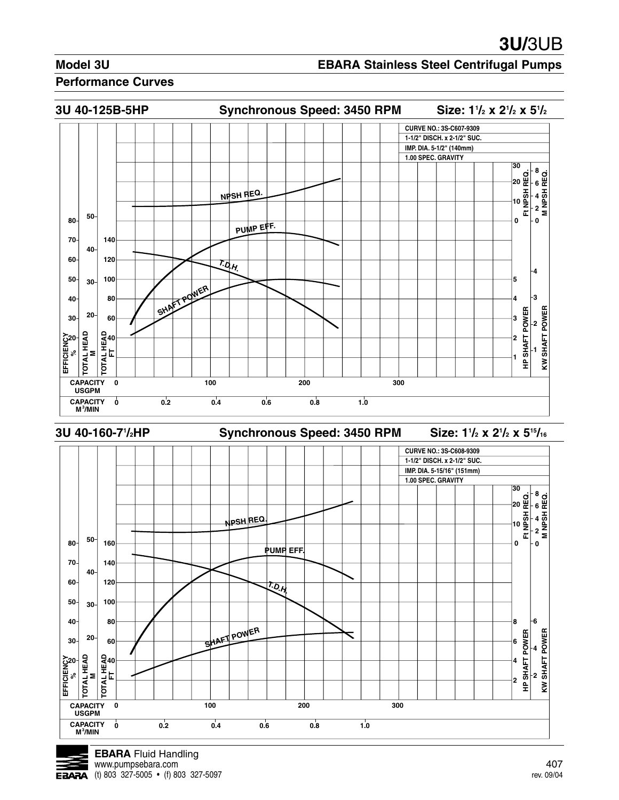#### **EBARA Stainless Steel Centrifugal Pumps**

#### **Performance Curves**





**USGPM CAPACITY**

**CAPACITY** 0 100 200 300

**/MIN 0 0.2 0.4 0.6 0.8 1.0**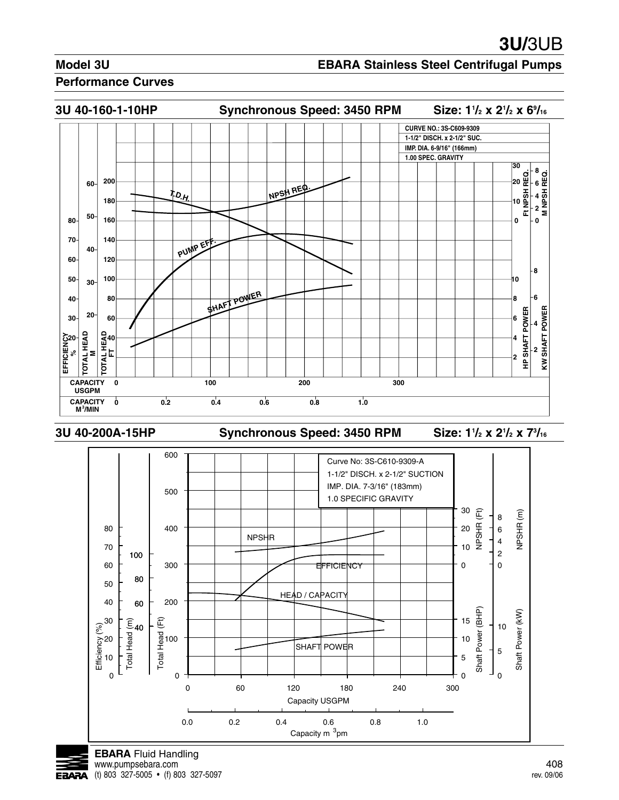#### **EBARA Stainless Steel Centrifugal Pumps**

#### **Performance Curves**



**3U 40-200A-15HP Synchronous Speed: 3450 RPM Size: 11**

**/2 x 21 /2 x 73 /16**



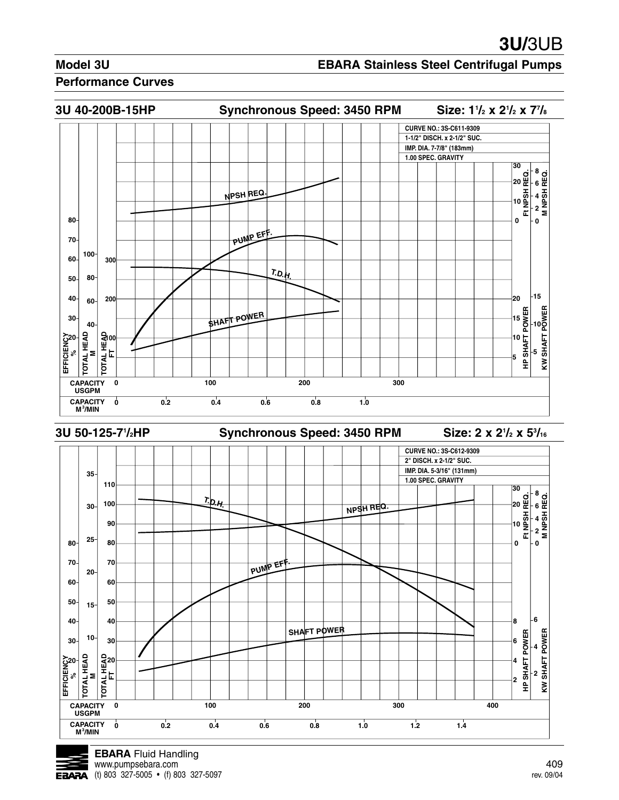#### **EBARA Stainless Steel Centrifugal Pumps**

#### **Performance Curves**



**CAPACITY 0 100 200 300 400**

**SHAFT POWER**

**/MIN 0 0.2 0.4 0.6 0.8 1.0 1.2 1.4**

PUMP EFF

**USGPM CAPACITY**

**80 70 60** **25**

**20**

**15**

**50 40 30**

**50 40 30**

EFFICIENCY<br>%%

**TOTAL HEAD<br>
<b>NOTAL HEAD**<br>
FT<br>
FT<br>
PL<br>
20

요<br>뽀<br>-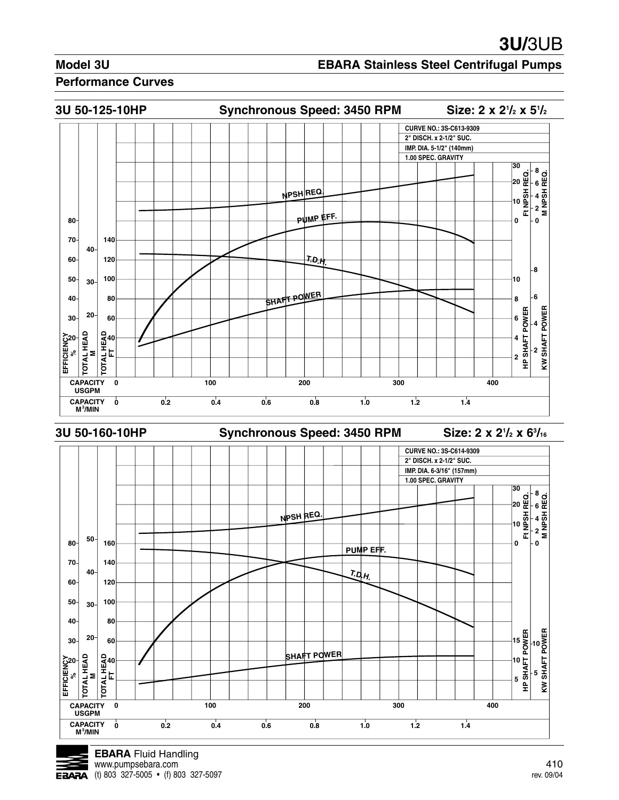### **EBARA Stainless Steel Centrifugal Pumps**



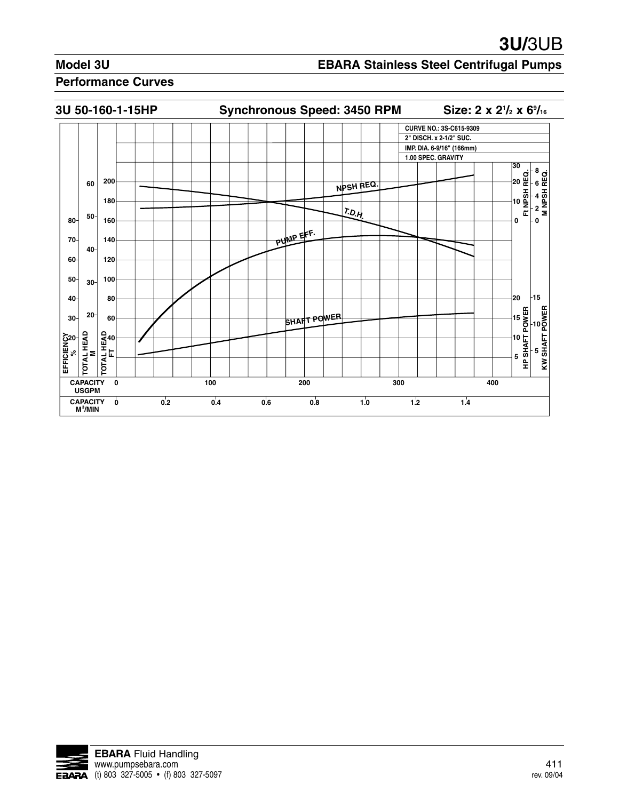## **EBARA Stainless Steel Centrifugal Pumps**



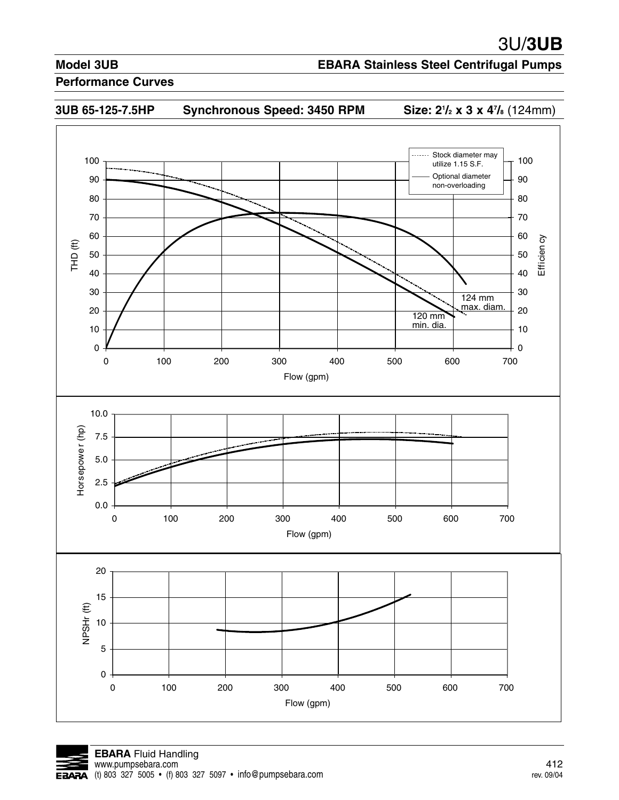## **EBARA Stainless Steel Centrifugal Pumps**







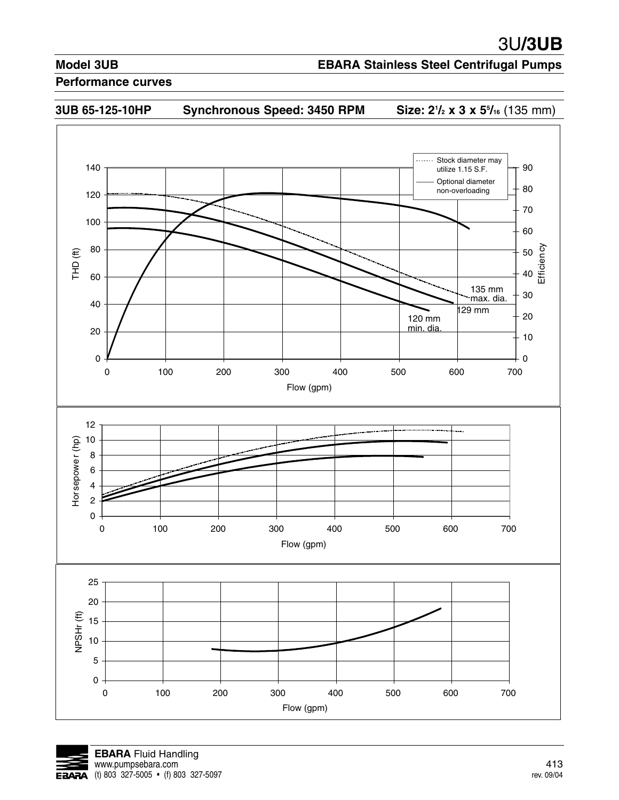## **EBARA Stainless Steel Centrifugal Pumps**





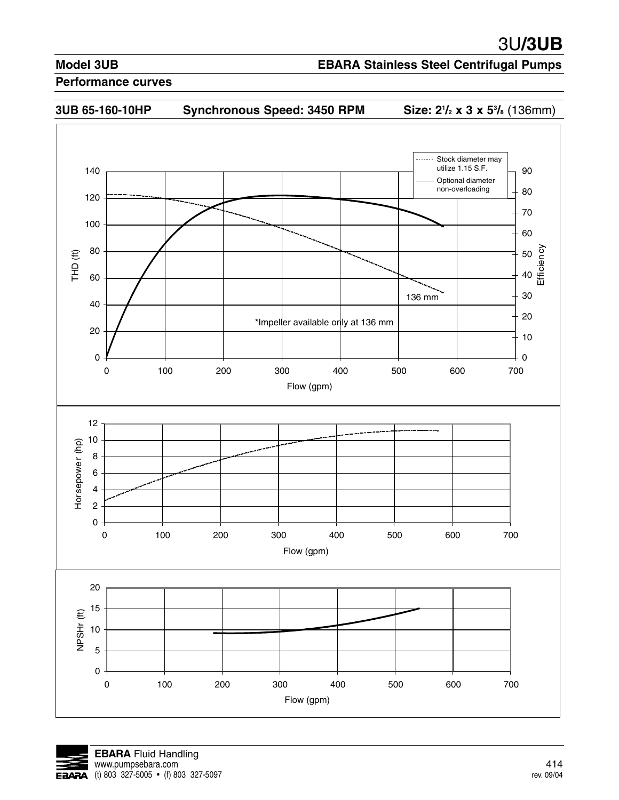## **EBARA Stainless Steel Centrifugal Pumps**



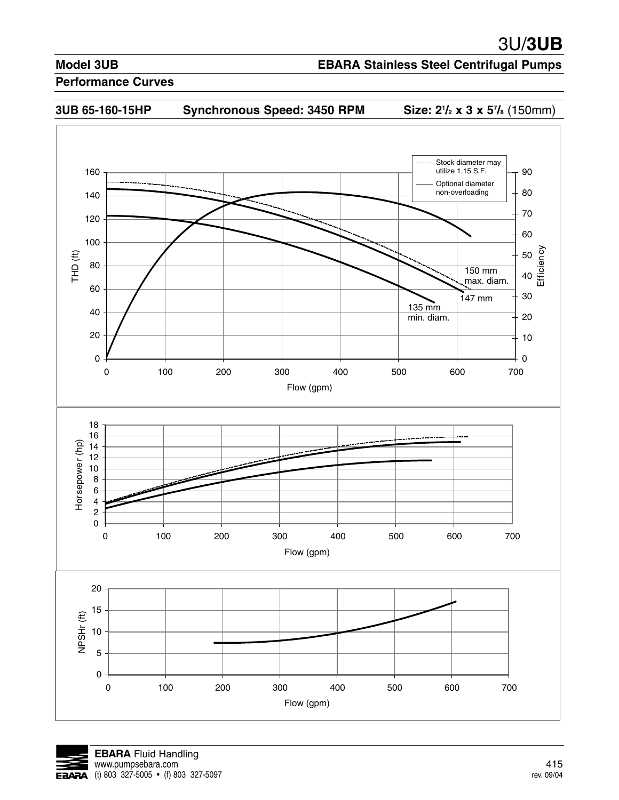### **EBARA Stainless Steel Centrifugal Pumps**



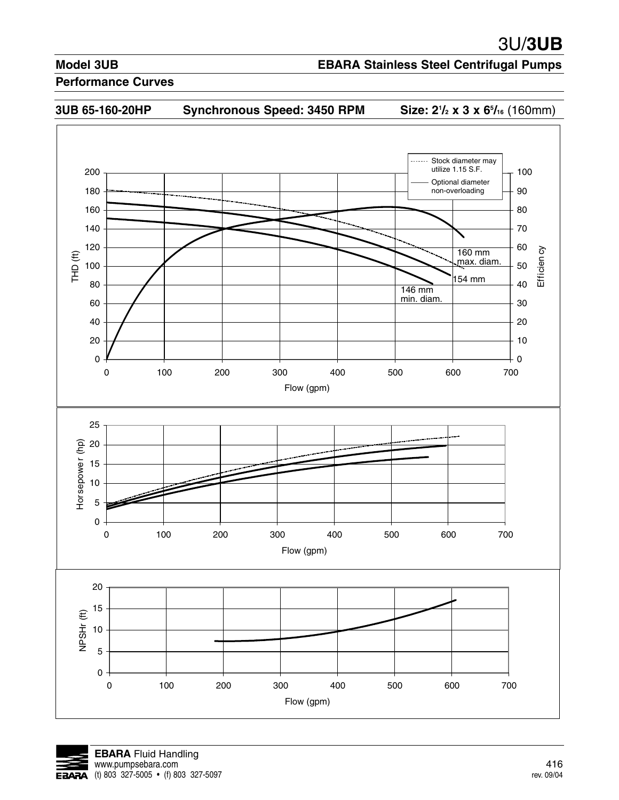## **EBARA Stainless Steel Centrifugal Pumps**





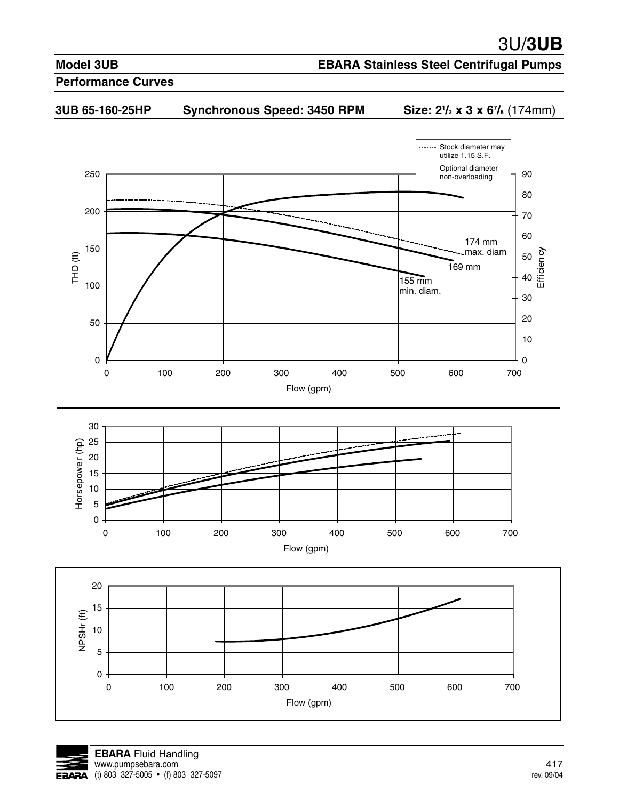## **EBARA Stainless Steel Centrifugal Pumps**

#### **Performance Curves**

## **3UB 65-160-25HP Synchronous Speed: 3450 RPM Size: 21**

**/2 x 3 x 67 /8** (174mm)



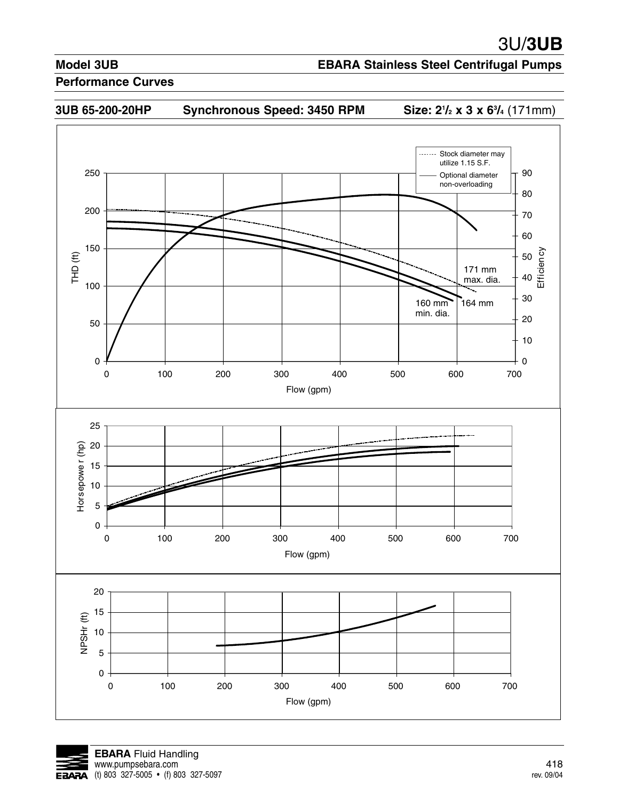## **EBARA Stainless Steel Centrifugal Pumps**





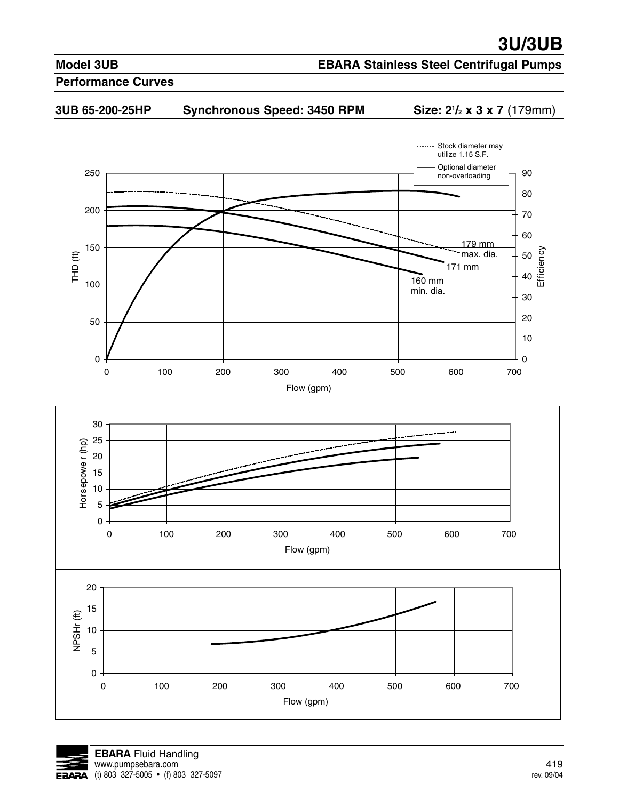## **EBARA Stainless Steel Centrifugal Pumps**



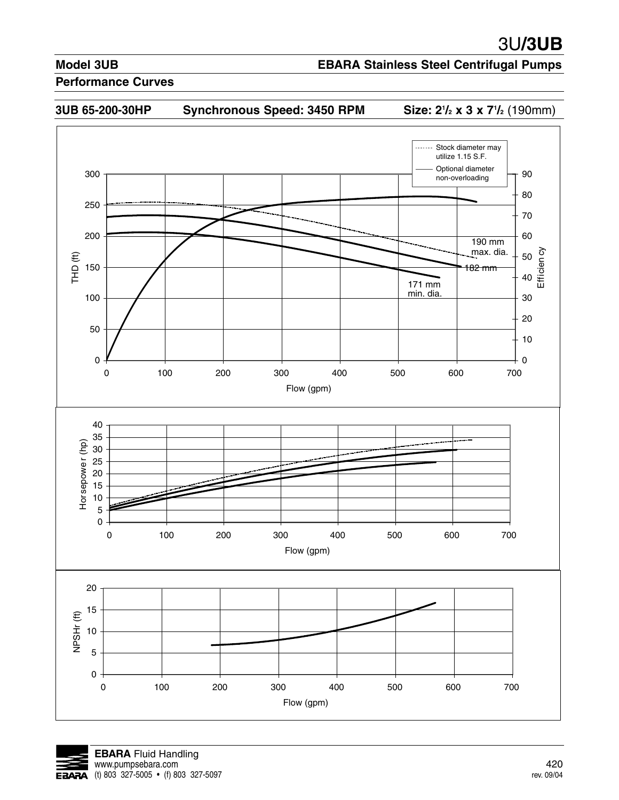## **EBARA Stainless Steel Centrifugal Pumps**

#### **Performance Curves**



**/2 x 3 x 71 /2** (190mm)



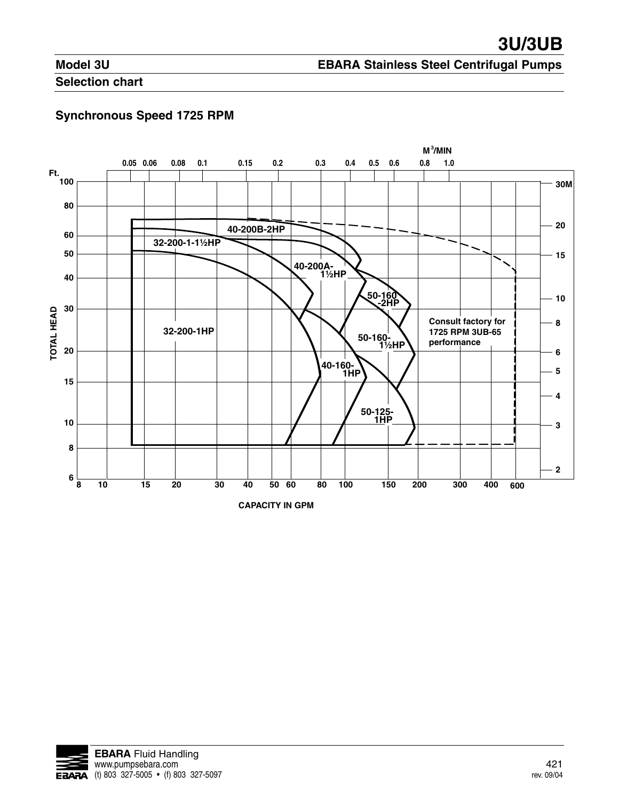# **EBARA Stainless Steel Centrifugal Pumps**

**Selection chart**

# **Synchronous Speed 1725 RPM**

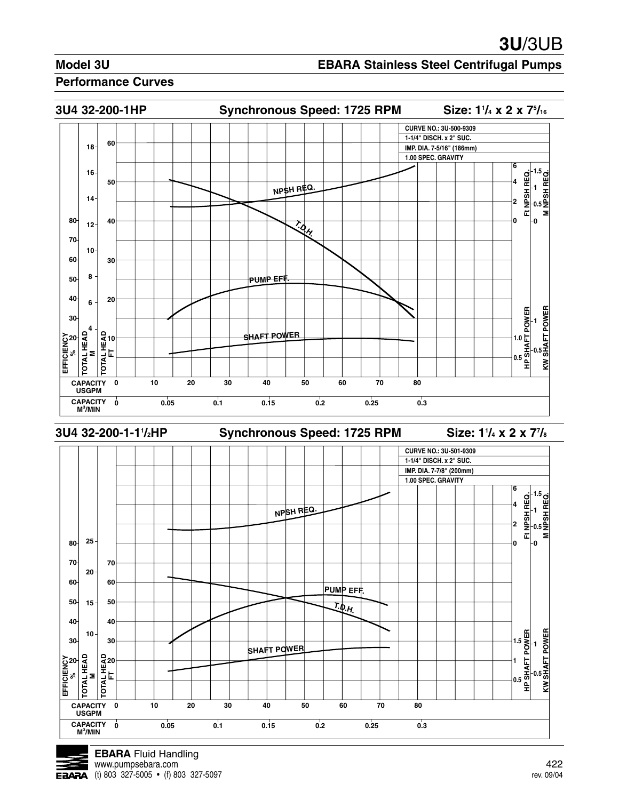### **EBARA Stainless Steel Centrifugal Pumps**

#### **Performance Curves**





**USGPM** CAPACITY **o**<br>M<sup>3</sup>/MIN

**CAPACITY 0 10 20 30 40 50 60 70 80**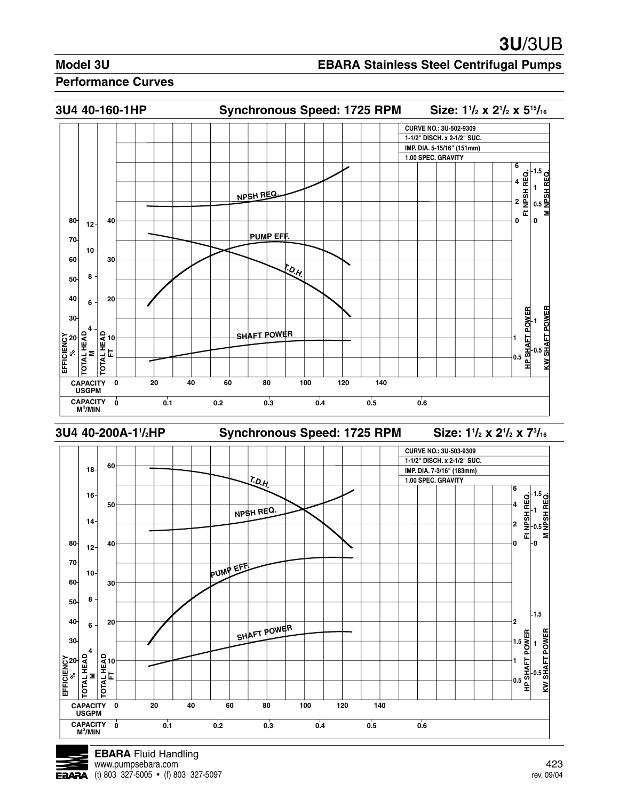### **EBARA Stainless Steel Centrifugal Pumps**



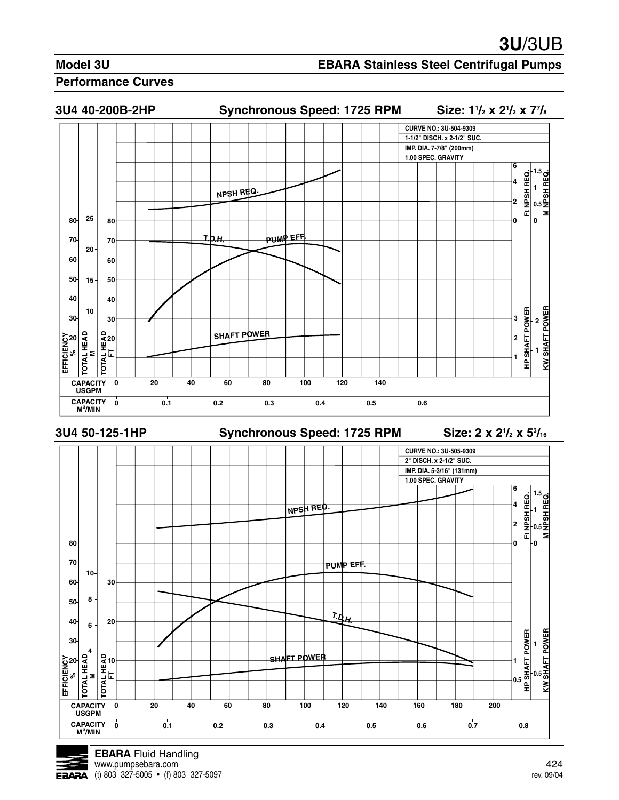### **EBARA Stainless Steel Centrifugal Pumps**



![](_page_24_Picture_5.jpeg)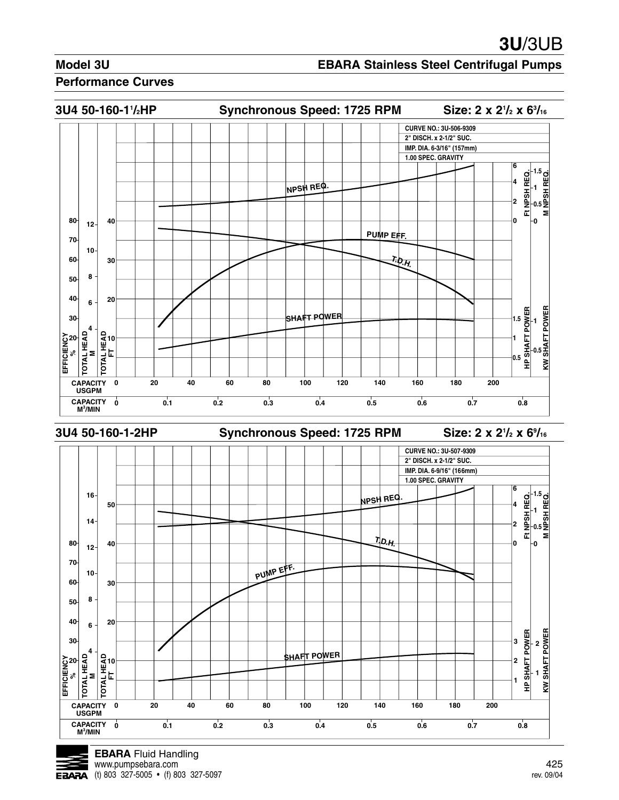### **EBARA Stainless Steel Centrifugal Pumps**

![](_page_25_Figure_4.jpeg)

![](_page_25_Picture_5.jpeg)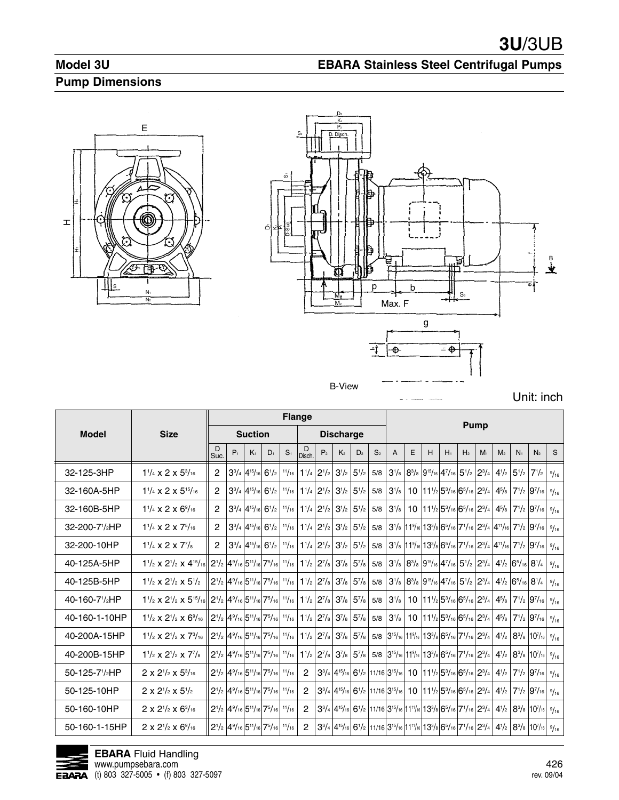# **Model 3U Pump Dimensions**

![](_page_26_Figure_2.jpeg)

![](_page_26_Figure_3.jpeg)

**EBARA Stainless Steel Centrifugal Pumps**

Unit: inch

|                            |                                                          |                |       |                                                                                                                    |           |                | <b>Flange</b>  |                                                                                                          |                  |                                                             |                | <b>Pump</b>  |                                                                                                                                                                                                                                                             |   |                                                                                                                                     |                |                |                |                                              |                                                                                                                                                                     |      |
|----------------------------|----------------------------------------------------------|----------------|-------|--------------------------------------------------------------------------------------------------------------------|-----------|----------------|----------------|----------------------------------------------------------------------------------------------------------|------------------|-------------------------------------------------------------|----------------|--------------|-------------------------------------------------------------------------------------------------------------------------------------------------------------------------------------------------------------------------------------------------------------|---|-------------------------------------------------------------------------------------------------------------------------------------|----------------|----------------|----------------|----------------------------------------------|---------------------------------------------------------------------------------------------------------------------------------------------------------------------|------|
| <b>Model</b>               | <b>Size</b>                                              |                |       | <b>Suction</b>                                                                                                     |           |                |                |                                                                                                          | <b>Discharge</b> |                                                             |                |              |                                                                                                                                                                                                                                                             |   |                                                                                                                                     |                |                |                |                                              |                                                                                                                                                                     |      |
|                            |                                                          | D<br>Suc.      | $P_1$ | $K_1$                                                                                                              | $D_1$     | S <sub>1</sub> | D<br>Disch     | P <sub>2</sub>                                                                                           | K <sub>2</sub>   | D <sub>2</sub>                                              | S <sub>2</sub> | $\mathsf{A}$ | E                                                                                                                                                                                                                                                           | н | $H_1$                                                                                                                               | H <sub>2</sub> | M <sub>1</sub> | M <sub>2</sub> | N <sub>1</sub>                               | N <sub>2</sub>                                                                                                                                                      | S.   |
| 32-125-3HP                 | $1\frac{1}{4}$ x 2 x $5\frac{3}{16}$                     | $\overline{2}$ |       | $3^{3}/_{4}$ 4 <sup>15</sup> / <sub>16</sub>                                                                       | $6^{1/2}$ | 11/16          | $1^{1}/_{4}$   | $2^{1/2}$                                                                                                | $3^{1/2}$        | $5^{1}/2$                                                   | 5/8            |              | $3^{1/8}$ $8^{3/8}$ $9^{15/16}$ $4^{7/16}$ $5^{1/2}$ $2^{3/4}$                                                                                                                                                                                              |   |                                                                                                                                     |                |                |                | $4\frac{1}{2}$ 5 <sup>1</sup> / <sub>2</sub> | $7^{1/2}$                                                                                                                                                           | 9/16 |
| 32-160A-5HP                | $1\frac{1}{4}$ x 2 x $5\frac{15}{16}$                    | $\overline{2}$ |       | $3^{3}/_{4}$ 4 <sup>15</sup> / <sub>16</sub>                                                                       | $6^{1/2}$ | 11/16          |                | $1\frac{1}{4}$ $2\frac{1}{2}$                                                                            |                  | $3^{1/2}$ 5 <sup>1</sup> / <sub>2</sub>                     | 5/8            | $ 3^{1}/s $  |                                                                                                                                                                                                                                                             |   | 10 $11^{1/2}$ 5 <sup>3</sup> / <sub>16</sub> 6 <sup>5</sup> / <sub>16</sub> 2 <sup>3</sup> / <sub>4</sub>                           |                |                |                |                                              | $4^{5}/_8$ 7 <sup>1</sup> / <sub>2</sub> 9 <sup>7</sup> / <sub>16</sub>                                                                                             | 9/16 |
| 32-160B-5HP                | $1\frac{1}{4}$ x 2 x $6\frac{9}{16}$                     | $\overline{2}$ |       | $3^{3}/_{4}$ 4 <sup>15</sup> / <sub>16</sub> 6 <sup>1</sup> / <sub>2</sub>                                         |           | 11/16          |                | $1\frac{1}{4}$ 2 <sup>1</sup> / <sub>2</sub>                                                             |                  | $3^{1/2}$ 5 <sup>1</sup> / <sub>2</sub>                     | 5/8            | $ 3^{1}/s $  |                                                                                                                                                                                                                                                             |   | 10 $11^{1/2}$ 5 <sup>3</sup> / <sub>16</sub> 6 <sup>5</sup> / <sub>16</sub> 2 <sup>3</sup> / <sub>4</sub>                           |                |                |                |                                              | $4^{5}/_8$ 7 <sup>1</sup> / <sub>2</sub> 9 <sup>7</sup> / <sub>16</sub>                                                                                             | 9/16 |
| 32-200-71/ <sub>2</sub> HP | $1\frac{1}{4}$ x 2 x $7\frac{5}{16}$                     | $\overline{2}$ |       | $3^{3}/_{4}$ 4 <sup>15</sup> / <sub>16</sub> 6 <sup>1</sup> / <sub>2</sub>                                         |           | 11/16          |                | $1\frac{1}{4}$ $2\frac{1}{2}$ $3\frac{1}{2}$ $5\frac{1}{2}$                                              |                  |                                                             | 5/8            |              |                                                                                                                                                                                                                                                             |   |                                                                                                                                     |                |                |                |                                              | $ 3^{1}/_8 11^{9}/_{16} 13^{3}/_8 6^{5}/_{16} 7^{1}/_{16} 2^{3}/_4 4^{11}/_{16} 7^{1}/_2 9^{7}/_{16} $                                                              | 9/16 |
| 32-200-10HP                | $1\frac{1}{4}$ x 2 x $7\frac{7}{8}$                      | $\mathcal{P}$  |       | $3^{3}/_{4}$ 4 <sup>15</sup> / <sub>16</sub> 6 <sup>1</sup> / <sub>2</sub>                                         |           | 11/16          |                | $1\frac{1}{4}$ $2\frac{1}{2}$ $3\frac{1}{2}$ $5\frac{1}{2}$                                              |                  |                                                             | 5/8            |              |                                                                                                                                                                                                                                                             |   |                                                                                                                                     |                |                |                |                                              | $ 3^{1}/_{8} 11^{9}/_{16} 13^{3}/_{8} 6^{5}/_{16} 7^{1}/_{16} 2^{3}/_{4} 4^{11}/_{16} 7^{1}/_{2} 9^{7}/_{16} $                                                      | 9/16 |
| 40-125A-5HP                | $1\frac{1}{2}$ x $2\frac{1}{2}$ x $4\frac{15}{16}$       |                |       | $2^{1/2}$ 4 <sup>9</sup> / <sub>16</sub> 5 <sup>11</sup> / <sub>16</sub> 7 <sup>5</sup> / <sub>16</sub>            |           | 11/16          |                | $1\frac{1}{2}$ 2 <sup>7</sup> / <sub>8</sub> 3 <sup>7</sup> / <sub>8</sub> 5 <sup>7</sup> / <sub>8</sub> |                  |                                                             | 5/8            |              | $ 3^{1}/_{8} 8^{3}/_{8} 9^{15}/_{16} 4^{7}/_{16} 5^{1}/_{2} 2^{3}/_{4} 4^{1}/_{2} 6^{5}/_{16} 8^{1}/_{4}$                                                                                                                                                   |   |                                                                                                                                     |                |                |                |                                              |                                                                                                                                                                     | 9/16 |
| 40-125B-5HP                | $1\frac{1}{2}$ x $2\frac{1}{2}$ x $5\frac{1}{2}$         |                |       | $2^{1/2}$ $4^{9/16}$ $5^{11/16}$ $7^{5/16}$ $1^{1/16}$                                                             |           |                |                | $1\frac{1}{2}$ 2 <sup>7</sup> / <sub>8</sub> 3 <sup>7</sup> / <sub>8</sub> 5 <sup>7</sup> / <sub>8</sub> |                  |                                                             | 5/8            |              | $ 3^{1}/_{8} 8^{3}/_{8} 9^{15}/_{16} 4^{7}/_{16} 5^{1}/_{2} 2^{3}/_{4} 4^{1}/_{2} 6^{5}/_{16} 8^{1}/_{4}$                                                                                                                                                   |   |                                                                                                                                     |                |                |                |                                              |                                                                                                                                                                     | 9/16 |
| 40-160-71/ <sub>2</sub> HP | $1\frac{1}{2} \times 2\frac{1}{2} \times 5\frac{15}{16}$ |                |       | $2^{1/2}$ 4 <sup>9</sup> / <sub>16</sub> 5 <sup>11</sup> / <sub>16</sub> 7 <sup>5</sup> / <sub>16</sub> $1^{1/16}$ |           |                |                | $1\frac{1}{2}$ 2 <sup>7</sup> / <sub>8</sub> 3 <sup>7</sup> / <sub>8</sub> 5 <sup>7</sup> / <sub>8</sub> |                  |                                                             | 5/8            | $ 3^{1}/s $  |                                                                                                                                                                                                                                                             |   | 10 $ 11!/2 5^{3}/16 6^{5}/16 2^{3}/4 $                                                                                              |                |                |                |                                              | $4^{5}/_8$ 7 <sup>1</sup> / <sub>2</sub> 9 <sup>7</sup> / <sub>16</sub>                                                                                             | 9/16 |
| 40-160-1-10HP              | $1\frac{1}{2}$ x $2\frac{1}{2}$ x $6\frac{9}{16}$        |                |       | $2^{1/2}$ 4 <sup>9</sup> / <sub>16</sub> 5 <sup>11</sup> / <sub>16</sub> 7 <sup>5</sup> / <sub>16</sub>            |           | 11/16          |                | $1\frac{1}{2}$ 2 <sup>7</sup> / <sub>8</sub> 3 <sup>7</sup> / <sub>8</sub> 5 <sup>7</sup> / <sub>8</sub> |                  |                                                             | 5/8            | $ 3^{1}/s $  |                                                                                                                                                                                                                                                             |   | 10 $11^{1/2}$ 5 <sup>3</sup> / <sub>16</sub> 6 <sup>5</sup> / <sub>16</sub> 2 <sup>3</sup> / <sub>4</sub>                           |                |                |                |                                              | $4^{5}/_8$ 7 <sup>1</sup> / <sub>2</sub> 9 <sup>7</sup> / <sub>16</sub>                                                                                             | 9/16 |
| 40-200A-15HP               | $1\frac{1}{2}$ x $2\frac{1}{2}$ x $7\frac{3}{16}$        |                |       | $2^{1/2}$ 4 <sup>9</sup> / <sub>16</sub> 5 <sup>11</sup> / <sub>16</sub> 7 <sup>5</sup> / <sub>16</sub>            |           | 11/16          |                | $1\frac{1}{2}$ 2 <sup>7</sup> / <sub>8</sub> 3 <sup>7</sup> / <sub>8</sub> 5 <sup>7</sup> / <sub>8</sub> |                  |                                                             |                |              | $5/8$ 3 <sup>15</sup> / <sub>16</sub> 11 <sup>9</sup> / <sub>16</sub> 13 <sup>3</sup> / <sub>8</sub> 6 <sup>5</sup> / <sub>16</sub> 7 <sup>1</sup> / <sub>16</sub> 2 <sup>3</sup> / <sub>4</sub>                                                            |   |                                                                                                                                     |                |                |                |                                              | $4\frac{1}{2}$ 8 <sup>3</sup> / <sub>8</sub> 10 <sup>7</sup> / <sub>16</sub>                                                                                        | 9/16 |
| 40-200B-15HP               | $1\frac{1}{2}$ x $2\frac{1}{2}$ x $7\frac{1}{8}$         |                |       | $2^{1/2}$ 4 <sup>9</sup> / <sub>16</sub> 5 <sup>11</sup> / <sub>16</sub> 7 <sup>5</sup> / <sub>16</sub>            |           | 11/16          |                | $1\frac{1}{2}$ 2 <sup>7</sup> / <sub>8</sub> 3 <sup>7</sup> / <sub>8</sub> 5 <sup>7</sup> / <sub>8</sub> |                  |                                                             |                |              | $5/8$ 3 <sup>15</sup> / <sub>16</sub> 11 <sup>9</sup> / <sub>16</sub> 13 <sup>3</sup> / <sub>8</sub> 6 <sup>5</sup> / <sub>16</sub> 7 <sup>1</sup> / <sub>16</sub> 2 <sup>3</sup> / <sub>4</sub>                                                            |   |                                                                                                                                     |                |                |                |                                              | $4\frac{1}{2}$ 8 <sup>3</sup> / <sub>8</sub> 10 <sup>7</sup> / <sub>16</sub>                                                                                        | 9/16 |
| 50-125-71/ <sub>2</sub> HP | $2 \times 2^{1/2} \times 5^{3/16}$                       |                |       | $2^{1/2}$ 4 <sup>9</sup> / <sub>16</sub> 5 <sup>11</sup> / <sub>16</sub> 7 <sup>5</sup> / <sub>16</sub>            |           | 11/16          | $\overline{2}$ |                                                                                                          |                  | $3^{3}/_{4}$ $ 4^{15}/_{16} 6^{1}/_{2} 11/16 3^{15}/_{16} $ |                |              |                                                                                                                                                                                                                                                             |   | $10$  11 <sup>1</sup> / <sub>2</sub>  5 <sup>3</sup> / <sub>16</sub>  6 <sup>5</sup> / <sub>16</sub>  2 <sup>3</sup> / <sub>4</sub> |                |                |                |                                              | $4\frac{1}{2}$ 7 <sup>1</sup> / <sub>2</sub> 9 <sup>7</sup> / <sub>16</sub>                                                                                         | 9/16 |
| 50-125-10HP                | $2 \times 2^{1/2} \times 5^{1/2}$                        |                |       | $2^{1/2}$ 4 <sup>9</sup> / <sub>16</sub> 5 <sup>11</sup> / <sub>16</sub> 7 <sup>5</sup> / <sub>16</sub>            |           | 11/16          | $\overline{2}$ |                                                                                                          |                  |                                                             |                |              |                                                                                                                                                                                                                                                             |   |                                                                                                                                     |                |                |                |                                              | $3^{3}/_{4}$ $4^{15}/_{16}$ $6^{1}/_{2}$ $11/16$ $3^{15}/_{16}$ 10 $11^{1}/_{2}$ $5^{3}/_{16}$ $6^{5}/_{16}$ $2^{3}/_{4}$ $4^{1}/_{2}$ $7^{1}/_{2}$ $9^{7}/_{16}$   | 9/16 |
| 50-160-10HP                | $2 \times 2^{1/2} \times 6^{3/16}$                       |                |       | $2^{1/2}$ 4 <sup>9</sup> / <sub>16</sub> 5 <sup>11</sup> / <sub>16</sub> 7 <sup>5</sup> / <sub>16</sub>            |           | 11/16          | $\overline{c}$ |                                                                                                          |                  |                                                             |                |              | $3^{3}/_{4}$ $4^{15}/_{16}$ 6 <sup>1</sup> / <sub>2</sub> 11/16 3 <sup>15</sup> / <sub>16</sub> 11 <sup>11</sup> / <sub>16</sub> 13 <sup>3</sup> / <sub>8</sub> 6 <sup>5</sup> / <sub>16</sub> 7 <sup>1</sup> / <sub>16</sub> 2 <sup>3</sup> / <sub>4</sub> |   |                                                                                                                                     |                |                |                |                                              | $4\frac{1}{2}$ 8 <sup>3</sup> / <sub>8</sub> 10 <sup>7</sup> / <sub>16</sub>                                                                                        | 9/16 |
| 50-160-1-15HP              | $2 \times 2^{1/2} \times 6^{9/16}$                       |                |       | $2^{1/2}$ 4 <sup>9</sup> / <sub>16</sub> 5 <sup>11</sup> / <sub>16</sub> 7 <sup>5</sup> / <sub>16</sub>            |           | 11/16          | $\overline{2}$ |                                                                                                          |                  |                                                             |                |              |                                                                                                                                                                                                                                                             |   |                                                                                                                                     |                |                |                |                                              | $3^{3}/_{4}$ $ 4^{15}/_{16} 6^{1}/_{2} 11/16 3^{15}/_{16} 11^{11}/_{16} 13^{3}/_{8} 6^{5}/_{16} 7^{1}/_{16} 2^{3}/_{4} 4^{1}/_{2} 8^{3}/_{8} 10^{7}/_{16} 9/_{16} $ |      |

![](_page_26_Picture_6.jpeg)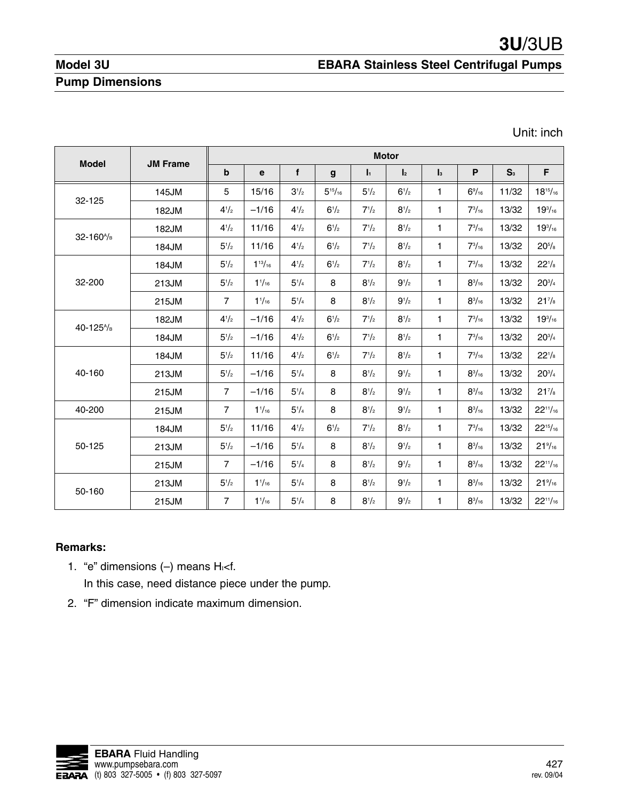**EBARA Stainless Steel Centrifugal Pumps**

# **Model 3U Pump Dimensions**

Unit: inch

|                        |                 |                |                 |              |                |                | <b>Motor</b>   |                |                 |                |                     |
|------------------------|-----------------|----------------|-----------------|--------------|----------------|----------------|----------------|----------------|-----------------|----------------|---------------------|
| <b>Model</b>           | <b>JM Frame</b> | b              | $\mathbf e$     | f            | g              | $\mathbf{I}_1$ | $\mathbf{I}_2$ | $\mathbf{I}_3$ | P               | S <sub>3</sub> | F                   |
| 32-125                 | 145JM           | 5              | 15/16           | $3^{1/2}$    | $5^{15}/_{16}$ | $5^{1}/2$      | $6^{1/2}$      | 1              | $6\frac{9}{16}$ | 11/32          | $18^{15}/_{16}$     |
|                        | 182JM           | $4^{1/2}$      | $-1/16$         | $4^{1}/_{2}$ | $6^{1/2}$      | $7^{1/2}$      | $8^{1/2}$      | 1              | $7^{3}/_{16}$   | 13/32          | $19^{3}/_{16}$      |
|                        | 182JM           | $4^{1}/_{2}$   | 11/16           | $4^{1}/_{2}$ | $6^{1/2}$      | $7^{1/2}$      | $8^{1/2}$      | $\mathbf{1}$   | $7^{3}/_{16}$   | 13/32          | $19^{3}/_{16}$      |
| 32-160 <sup>A</sup> /B | 184JM           | $5^{1}/2$      | 11/16           | $4^{1}/_{2}$ | $6^{1/2}$      | $7^{1/2}$      | $8^{1/2}$      | $\mathbf{1}$   | $7^{3}/_{16}$   | 13/32          | $20^{5}/\mathrm{s}$ |
|                        | 184JM           | $5^{1}/2$      | $1^{13}/_{16}$  | $4^{1}/_{2}$ | $6^{1/2}$      | $7^{1}/2$      | $8^{1/2}$      | 1              | $7^{3}/_{16}$   | 13/32          | $22^{1/8}$          |
| 32-200                 | 213JM           | $5^{1}/2$      | $1^{1/16}$      | $5^{1}/4$    | 8              | $8^{1/2}$      | $9^{1/2}$      | $\mathbf{1}$   | $8^{3}/_{16}$   | 13/32          | $20^{3}/4$          |
|                        | 215JM           | $\overline{7}$ | $1\frac{1}{16}$ | $5^{1}/4$    | 8              | $8^{1/2}$      | $9^{1/2}$      | $\mathbf{1}$   | $8^{3}/_{16}$   | 13/32          | $21\frac{7}{8}$     |
| 40-125 <sup>А</sup> /в | 182JM           | $4^{1/2}$      | $-1/16$         | $4^{1}/_{2}$ | $6^{1/2}$      | $7^{1/2}$      | $8^{1/2}$      | $\mathbf{1}$   | $7^{3}/_{16}$   | 13/32          | $19^{3}/_{16}$      |
|                        | 184JM           | $5^{1/2}$      | $-1/16$         | $4^{1}/_{2}$ | $6^{1/2}$      | $7^{1/2}$      | $8^{1/2}$      | $\mathbf{1}$   | $7^{3}/_{16}$   | 13/32          | $20^{3}/_{4}$       |
|                        | 184JM           | $5^{1/2}$      | 11/16           | $4^{1}/_{2}$ | $6^{1/2}$      | $7^{1/2}$      | $8^{1/2}$      | 1              | $7^{3}/_{16}$   | 13/32          | $22^{1/8}$          |
| 40-160                 | 213JM           | $5^{1/2}$      | $-1/16$         | $5^{1}/4$    | 8              | $8^{1/2}$      | $9^{1/2}$      | $\mathbf{1}$   | $8^{3}/_{16}$   | 13/32          | $20^{3/4}$          |
|                        | 215JM           | $\overline{7}$ | $-1/16$         | $5^{1}/4$    | 8              | $8^{1/2}$      | $9^{1/2}$      | $\mathbf{1}$   | $8^{3}/_{16}$   | 13/32          | $21\frac{7}{8}$     |
| 40-200                 | 215JM           | $\overline{7}$ | $1\frac{1}{16}$ | $5^{1}/4$    | 8              | $8^{1/2}$      | $9^{1/2}$      | $\mathbf{1}$   | $8^{3}/_{16}$   | 13/32          | $22^{11}/_{16}$     |
|                        | 184JM           | $5^{1}/2$      | 11/16           | $4^{1}/_{2}$ | $6^{1/2}$      | $7^{1}/2$      | $8^{1/2}$      | $\mathbf{1}$   | $7^{3}/_{16}$   | 13/32          | $22^{15}/_{16}$     |
| 50-125                 | 213JM           | $5^{1}/2$      | $-1/16$         | $5^{1}/4$    | 8              | $8^{1/2}$      | $9^{1/2}$      | $\mathbf{1}$   | $8^{3}/_{16}$   | 13/32          | $21\frac{9}{16}$    |
|                        | 215JM           | $\overline{7}$ | $-1/16$         | $5^{1}/4$    | 8              | $8^{1/2}$      | $9^{1/2}$      | $\mathbf{1}$   | $8^{3}/_{16}$   | 13/32          | $22^{11}/_{16}$     |
| 50-160                 | 213JM           | $5^{1}/2$      | $1\frac{1}{16}$ | $5^{1}/4$    | 8              | $8^{1/2}$      | $9\frac{1}{2}$ | 1              | $8^{3}/_{16}$   | 13/32          | $21\frac{9}{16}$    |
|                        | 215JM           | $\overline{7}$ | $1\frac{1}{16}$ | $5^{1}/4$    | 8              | $8^{1/2}$      | $9^{1/2}$      | 1              | $8^{3}/_{16}$   | 13/32          | $22^{11}/_{16}$     |

## **Remarks:**

1. "e" dimensions  $(-)$  means  $H<sub>1</sub>$  <f.

In this case, need distance piece under the pump.

2. "F" dimension indicate maximum dimension.

![](_page_27_Picture_8.jpeg)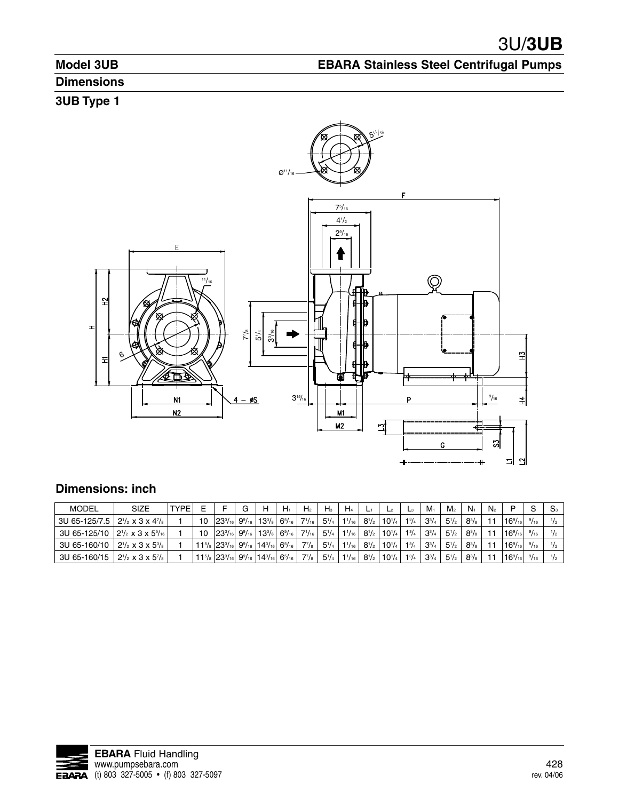**EBARA Stainless Steel Centrifugal Pumps**

# **Model 3UB**

# **Dimensions**

# **3UB Type 1**

![](_page_28_Figure_4.jpeg)

## **Dimensions: inch**

| <b>MODEL</b>                                                                                  | <b>SIZE</b>                                 | <b>TYPE</b> |     |                                                                                                                                               |  | $H_1$         | H <sub>2</sub> | $H_3$        | $H_4$      |                                               |            | $L_3$        | $M_{1}$      | M <sub>2</sub> | $N_1$        | N <sub>2</sub> | D                    | S    | $S_{3}$     |
|-----------------------------------------------------------------------------------------------|---------------------------------------------|-------------|-----|-----------------------------------------------------------------------------------------------------------------------------------------------|--|---------------|----------------|--------------|------------|-----------------------------------------------|------------|--------------|--------------|----------------|--------------|----------------|----------------------|------|-------------|
| 3U 65-125/7.5 $\frac{1}{2}$ 2 <sup>1</sup> / <sub>2</sub> x 3 x 4 <sup>7</sup> / <sub>8</sub> |                                             |             | 10. | $ 23^{3}/_{16} 9^{9}/_{16} 13^{3}/_{8} $                                                                                                      |  | $6^{5}/_{16}$ | $7^{1/16}$     | $5^{1}/_{4}$ |            | $1\frac{1}{16}$ 8 <sup>1</sup> / <sub>2</sub> | $10^{1/4}$ | $1^{3}/_{4}$ | $3^{3}/_{4}$ | $5^{1}/_{2}$   | $8^{3}/_{8}$ | 11             | $16\frac{9}{161}$    | 9/16 |             |
| 3U 65-125/10 $ 2^{1/2} \times 3 \times 5^{5/16} $                                             |                                             |             | 10. | $ 23^{3}/_{16} 9^{9}/_{16} 13^{3}/_{8} $                                                                                                      |  | $6^{5}/_{16}$ | $7^{1/16}$     | $5^{1/4}$    |            | $1\frac{1}{16}$ $8\frac{1}{2}$                | $10^{1/4}$ | $1^{3}/_{4}$ | $3^{3}/_{4}$ | $5^{1}/_{2}$   | $8^{3}/_8$   |                | $16\frac{9}{161}$    | 9/16 |             |
| 3U 65-160/10                                                                                  | $2\frac{1}{2} \times 3 \times 5\frac{3}{8}$ |             |     | $11\frac{5}{8}$ 23 <sup>3</sup> / <sub>16</sub> 9 <sup>9</sup> / <sub>16</sub> 14 <sup>3</sup> / <sub>16</sub> 6 <sup>5</sup> / <sub>16</sub> |  |               | $7^{7}/_8$     | $5^{1}/_{4}$ |            | $1\frac{1}{16}$ 8 <sup>1</sup> / <sub>2</sub> | $10^{1/4}$ | $1^{3}/_{4}$ | $3^{3}/_{4}$ | $5^{1}/_{2}$   | $8^{3}/_{8}$ |                | 16 <sup>9</sup> /161 | 9/16 |             |
| 3U 65-160/15                                                                                  | $2^{1/2} \times 3 \times 5^{7/8}$           |             |     | $11\frac{5}{8}$ 23 <sup>3</sup> / <sub>16</sub> 9 <sup>9</sup> / <sub>16</sub> 14 <sup>3</sup> / <sub>16</sub> 6 <sup>5</sup> / <sub>16</sub> |  |               | $7^{7}/_8$     | $5^{1/4}$    | $1^{1/16}$ | $8^{1/2}$                                     | $10^{1/4}$ | $1^{3}/_{4}$ | $3^{3}/_{4}$ | $5^{1}/_{2}$   | $8^{3}/_{8}$ |                | $16\frac{9}{16}$     | 9/16 | $^{1}/_{2}$ |

![](_page_28_Picture_7.jpeg)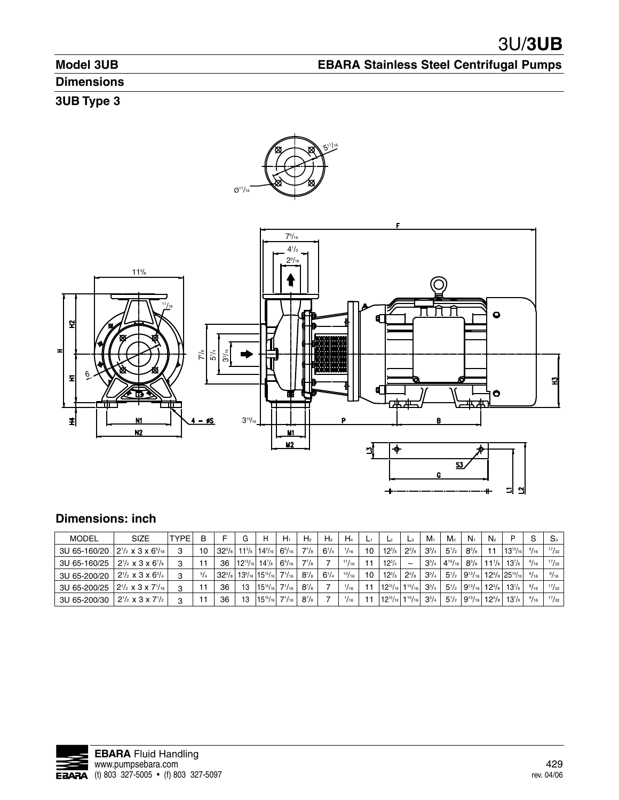**EBARA Stainless Steel Centrifugal Pumps**

# **Model 3UB**

# **Dimensions**

# **3UB Type 3**

![](_page_29_Figure_4.jpeg)

# **Dimensions: inch**

| <b>MODEL</b> | SIZE                               | <b>TYPE</b> | в           |            | G               | н                                    | $H_1$         | H <sub>2</sub>     | $H_3$     | H <sub>4</sub> |     | L <sup>2</sup>  | L <sub>3</sub> | $M_1$        | M <sub>2</sub> | $N_{1}$        | $N_{2}$         | D                                              | S    | S <sub>3</sub> |
|--------------|------------------------------------|-------------|-------------|------------|-----------------|--------------------------------------|---------------|--------------------|-----------|----------------|-----|-----------------|----------------|--------------|----------------|----------------|-----------------|------------------------------------------------|------|----------------|
| 3U 65-160/20 | $2^{1/2} \times 3 \times 6^{5/16}$ | 3           | 10          | $32^{3}/8$ | $11^{5}/_8$     | $14^{3}/_{16}$                       | $6^{5}/_{16}$ | $7^{7}/\!s$        | $6^{1/4}$ | 1/16           | 10  | $12^{3}/s$      | $2^{3}/8$      | $3^{3}/4$    | $5^{1/2}$      | $8^{3}/_{8}$   | 11              | $13^{13}/_{16}$                                | 9/16 | 17/32          |
| 3U 65-160/25 | $2^{1/2} \times 3 \times 6^{7/8}$  | 3           |             | 36         | $12^{13}/_{16}$ | $14^{7}/s$                           | $6^{5}/_{16}$ | $7^{7}/\!s$        |           | 11/16          | ا ا | $12^{3/4}$      | -              | $3^{3}/4$    | $4^{15}/_{16}$ | $8^{3}/_{8}$   | $11\frac{1}{8}$ | $13^{7}/_{8}$                                  | 9/16 | 17/32          |
| 3U 65-200/20 | $2^{1/2} \times 3 \times 6^{3/4}$  | 3           | $^{3}/_{4}$ | $32^{3}/s$ |                 | $13\frac{9}{16}$   $15\frac{15}{16}$ | $7^{1}/_{16}$ | $8^{7}/_{8}$       | $6^{1/4}$ | 13/16          | 10  | $12^{3}/s$      | $2^{3}/3$      | $3^{3}/4$    | $5^{1/2}$      |                |                 | $9^{13}/_{16}$   $12^{5}/_8$   $25^{13}/_{16}$ | 9/16 | 9/16           |
| 3U 65-200/25 | $2^{1/2} \times 3 \times 7^{1/16}$ | 3           |             | 36         | 13              | $15^{15}/_{16}$                      | $7^{1}/_{16}$ | $8^{7}/\mathrm{s}$ |           | $^{1}/_{16}$   | 11  | $12^{15}/_{16}$ | 115/16         | $3^{3}/_{4}$ | $5^{1/2}$      | $9^{13}/_{16}$ | $12^{5/8}$      | $13^{7/s}$ .                                   | 9/16 | 17/32          |
| 3U 65-200/30 | $2^{1/2} \times 3 \times 7^{1/2}$  | ۰           |             | 36         | 13              | $15^{15}/_{16}$                      | $7^{1}/_{16}$ | $8^{7}/_{8}$       |           | $^{1}/_{16}$   | ۱۱  | $12^{15}/_{16}$ | 115/16         | $3^{3}/_{4}$ | $5^{1/2}$      | $9^{13}/_{16}$ | $12^{5/8}$      | $13^{7}/s$                                     | 9/16 | 17/32          |

![](_page_29_Picture_7.jpeg)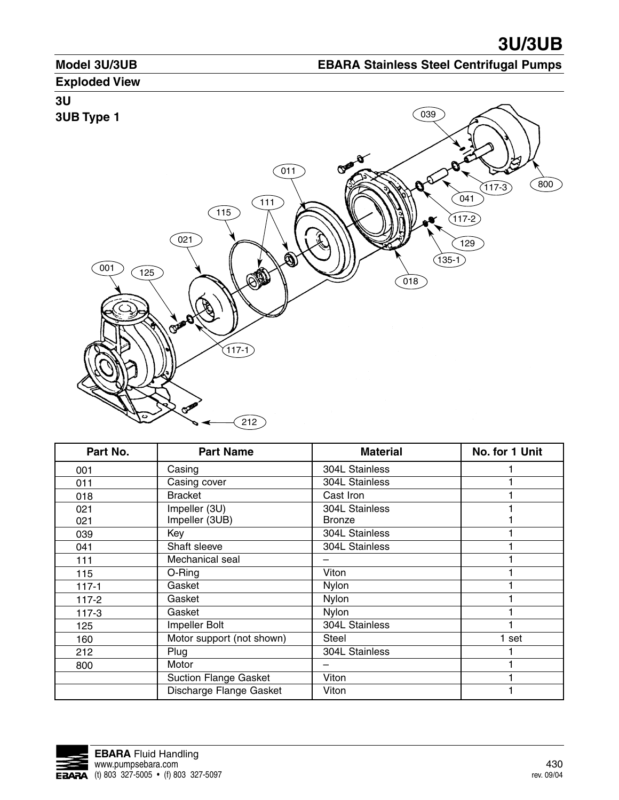## **Model 3U/3UB**

# **EBARA Stainless Steel Centrifugal Pumps**

## **Exploded View**

# **3U 3UB Type 1**

![](_page_30_Picture_5.jpeg)

| Part No.  | <b>Part Name</b>             | <b>Material</b> | No. for 1 Unit |
|-----------|------------------------------|-----------------|----------------|
| 001       | Casing                       | 304L Stainless  |                |
| 011       | Casing cover                 | 304L Stainless  |                |
| 018       | <b>Bracket</b>               | Cast Iron       |                |
| 021       | Impeller (3U)                | 304L Stainless  |                |
| 021       | Impeller (3UB)               | <b>Bronze</b>   |                |
| 039       | Key                          | 304L Stainless  |                |
| 041       | Shaft sleeve                 | 304L Stainless  |                |
| 111       | Mechanical seal              |                 |                |
| 115       | O-Ring                       | Viton           |                |
| $117 - 1$ | Gasket                       | <b>Nylon</b>    |                |
| $117 - 2$ | Gasket                       | Nylon           |                |
| $117-3$   | Gasket                       | <b>Nylon</b>    |                |
| 125       | Impeller Bolt                | 304L Stainless  |                |
| 160       | Motor support (not shown)    | <b>Steel</b>    | 1 set          |
| 212       | Plug                         | 304L Stainless  |                |
| 800       | Motor                        |                 |                |
|           | <b>Suction Flange Gasket</b> | Viton           |                |
|           | Discharge Flange Gasket      | Viton           |                |

![](_page_30_Picture_7.jpeg)